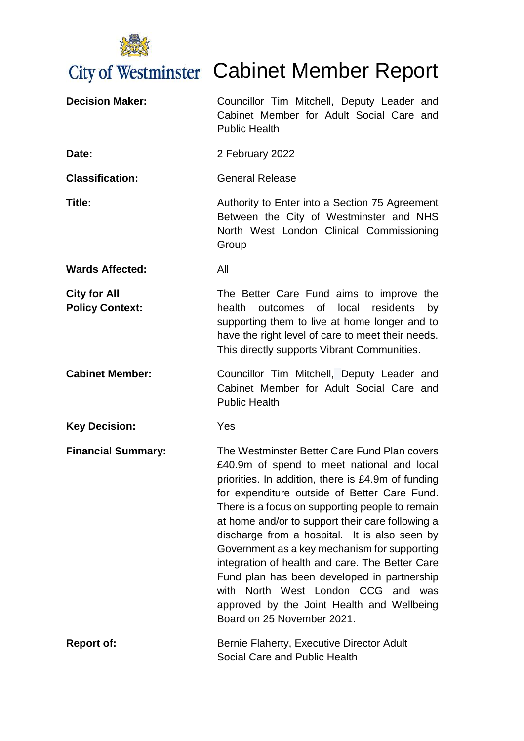

# City of Westminster Cabinet Member Report

| <b>Decision Maker:</b>                        | Councillor Tim Mitchell, Deputy Leader and<br>Cabinet Member for Adult Social Care and<br><b>Public Health</b>                                                                                                                                                                                                                                                                                                                                                                                                                                                                                                               |
|-----------------------------------------------|------------------------------------------------------------------------------------------------------------------------------------------------------------------------------------------------------------------------------------------------------------------------------------------------------------------------------------------------------------------------------------------------------------------------------------------------------------------------------------------------------------------------------------------------------------------------------------------------------------------------------|
| Date:                                         | 2 February 2022                                                                                                                                                                                                                                                                                                                                                                                                                                                                                                                                                                                                              |
| <b>Classification:</b>                        | <b>General Release</b>                                                                                                                                                                                                                                                                                                                                                                                                                                                                                                                                                                                                       |
| Title:                                        | Authority to Enter into a Section 75 Agreement<br>Between the City of Westminster and NHS<br>North West London Clinical Commissioning<br>Group                                                                                                                                                                                                                                                                                                                                                                                                                                                                               |
| <b>Wards Affected:</b>                        | All                                                                                                                                                                                                                                                                                                                                                                                                                                                                                                                                                                                                                          |
| <b>City for All</b><br><b>Policy Context:</b> | The Better Care Fund aims to improve the<br>health<br>0f<br>local<br>residents<br>outcomes<br>by<br>supporting them to live at home longer and to<br>have the right level of care to meet their needs.<br>This directly supports Vibrant Communities.                                                                                                                                                                                                                                                                                                                                                                        |
| <b>Cabinet Member:</b>                        | Councillor Tim Mitchell, Deputy Leader and<br>Cabinet Member for Adult Social Care and<br><b>Public Health</b>                                                                                                                                                                                                                                                                                                                                                                                                                                                                                                               |
| <b>Key Decision:</b>                          | Yes                                                                                                                                                                                                                                                                                                                                                                                                                                                                                                                                                                                                                          |
| <b>Financial Summary:</b>                     | The Westminster Better Care Fund Plan covers<br>£40.9m of spend to meet national and local<br>priorities. In addition, there is £4.9m of funding<br>for expenditure outside of Better Care Fund.<br>There is a focus on supporting people to remain<br>at home and/or to support their care following a<br>discharge from a hospital. It is also seen by<br>Government as a key mechanism for supporting<br>integration of health and care. The Better Care<br>Fund plan has been developed in partnership<br>with North West London CCG and was<br>approved by the Joint Health and Wellbeing<br>Board on 25 November 2021. |
| <b>Report of:</b>                             | Bernie Flaherty, Executive Director Adult<br>Social Care and Public Health                                                                                                                                                                                                                                                                                                                                                                                                                                                                                                                                                   |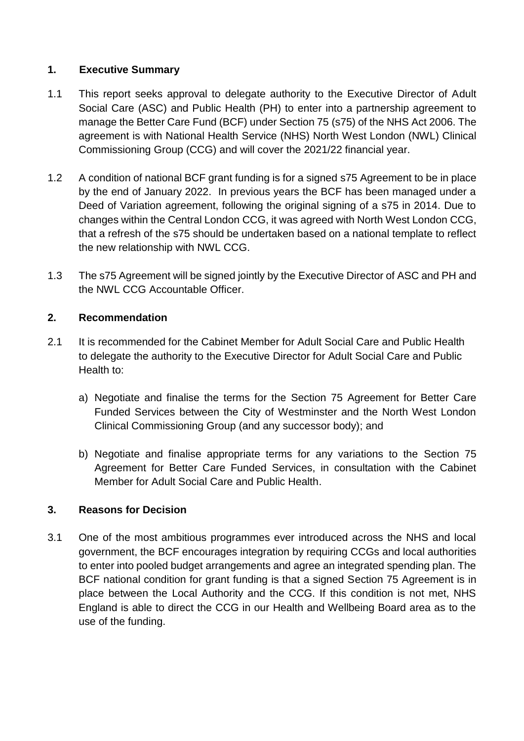#### **1. Executive Summary**

- 1.1 This report seeks approval to delegate authority to the Executive Director of Adult Social Care (ASC) and Public Health (PH) to enter into a partnership agreement to manage the Better Care Fund (BCF) under Section 75 (s75) of the NHS Act 2006. The agreement is with National Health Service (NHS) North West London (NWL) Clinical Commissioning Group (CCG) and will cover the 2021/22 financial year.
- 1.2 A condition of national BCF grant funding is for a signed s75 Agreement to be in place by the end of January 2022. In previous years the BCF has been managed under a Deed of Variation agreement, following the original signing of a s75 in 2014. Due to changes within the Central London CCG, it was agreed with North West London CCG, that a refresh of the s75 should be undertaken based on a national template to reflect the new relationship with NWL CCG.
- 1.3 The s75 Agreement will be signed jointly by the Executive Director of ASC and PH and the NWL CCG Accountable Officer.

#### **2. Recommendation**

- 2.1 It is recommended for the Cabinet Member for Adult Social Care and Public Health to delegate the authority to the Executive Director for Adult Social Care and Public Health to:
	- a) Negotiate and finalise the terms for the Section 75 Agreement for Better Care Funded Services between the City of Westminster and the North West London Clinical Commissioning Group (and any successor body); and
	- b) Negotiate and finalise appropriate terms for any variations to the Section 75 Agreement for Better Care Funded Services, in consultation with the Cabinet Member for Adult Social Care and Public Health.

#### **3. Reasons for Decision**

3.1 One of the most ambitious programmes ever introduced across the NHS and local government, the BCF encourages integration by requiring CCGs and local authorities to enter into pooled budget arrangements and agree an integrated spending plan. The BCF national condition for grant funding is that a signed Section 75 Agreement is in place between the Local Authority and the CCG. If this condition is not met, NHS England is able to direct the CCG in our Health and Wellbeing Board area as to the use of the funding.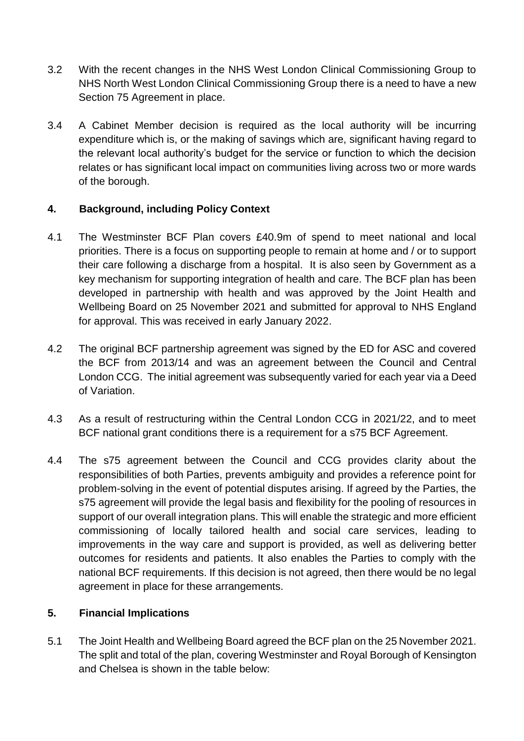- 3.2 With the recent changes in the NHS West London Clinical Commissioning Group to NHS North West London Clinical Commissioning Group there is a need to have a new Section 75 Agreement in place.
- 3.4 A Cabinet Member decision is required as the local authority will be incurring expenditure which is, or the making of savings which are, significant having regard to the relevant local authority's budget for the service or function to which the decision relates or has significant local impact on communities living across two or more wards of the borough.

# **4. Background, including Policy Context**

- 4.1 The Westminster BCF Plan covers £40.9m of spend to meet national and local priorities. There is a focus on supporting people to remain at home and / or to support their care following a discharge from a hospital. It is also seen by Government as a key mechanism for supporting integration of health and care. The BCF plan has been developed in partnership with health and was approved by the Joint Health and Wellbeing Board on 25 November 2021 and submitted for approval to NHS England for approval. This was received in early January 2022.
- 4.2 The original BCF partnership agreement was signed by the ED for ASC and covered the BCF from 2013/14 and was an agreement between the Council and Central London CCG. The initial agreement was subsequently varied for each year via a Deed of Variation.
- 4.3 As a result of restructuring within the Central London CCG in 2021/22, and to meet BCF national grant conditions there is a requirement for a s75 BCF Agreement.
- 4.4 The s75 agreement between the Council and CCG provides clarity about the responsibilities of both Parties, prevents ambiguity and provides a reference point for problem-solving in the event of potential disputes arising. If agreed by the Parties, the s75 agreement will provide the legal basis and flexibility for the pooling of resources in support of our overall integration plans. This will enable the strategic and more efficient commissioning of locally tailored health and social care services, leading to improvements in the way care and support is provided, as well as delivering better outcomes for residents and patients. It also enables the Parties to comply with the national BCF requirements. If this decision is not agreed, then there would be no legal agreement in place for these arrangements.

#### **5. Financial Implications**

5.1 The Joint Health and Wellbeing Board agreed the BCF plan on the 25 November 2021. The split and total of the plan, covering Westminster and Royal Borough of Kensington and Chelsea is shown in the table below: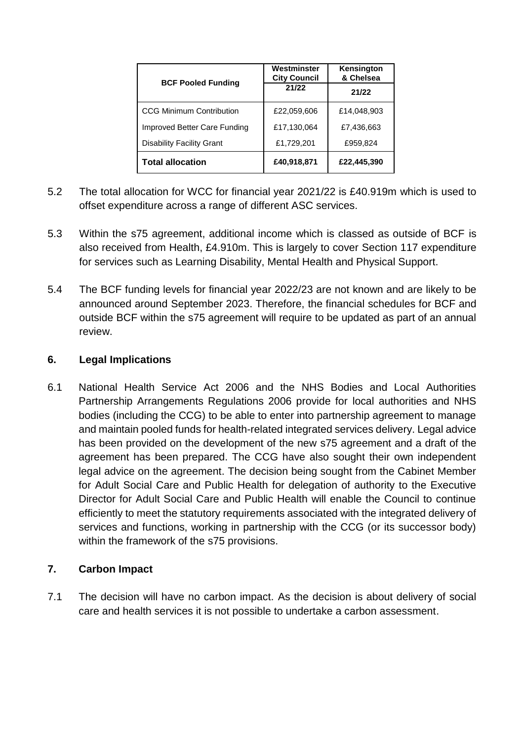| <b>BCF Pooled Funding</b>        | Westminster<br><b>City Council</b> | Kensington<br>& Chelsea |
|----------------------------------|------------------------------------|-------------------------|
|                                  | 21/22                              | 21/22                   |
| <b>CCG Minimum Contribution</b>  | £22,059,606                        | £14,048,903             |
| Improved Better Care Funding     | £17,130,064                        | £7,436,663              |
| <b>Disability Facility Grant</b> | £1,729,201                         | £959,824                |
| <b>Total allocation</b>          | £40,918,871                        | £22,445,390             |

- 5.2 The total allocation for WCC for financial year 2021/22 is £40.919m which is used to offset expenditure across a range of different ASC services.
- 5.3 Within the s75 agreement, additional income which is classed as outside of BCF is also received from Health, £4.910m. This is largely to cover Section 117 expenditure for services such as Learning Disability, Mental Health and Physical Support.
- 5.4 The BCF funding levels for financial year 2022/23 are not known and are likely to be announced around September 2023. Therefore, the financial schedules for BCF and outside BCF within the s75 agreement will require to be updated as part of an annual review.

# **6. Legal Implications**

6.1 National Health Service Act 2006 and the NHS Bodies and Local Authorities Partnership Arrangements Regulations 2006 provide for local authorities and NHS bodies (including the CCG) to be able to enter into partnership agreement to manage and maintain pooled funds for health-related integrated services delivery. Legal advice has been provided on the development of the new s75 agreement and a draft of the agreement has been prepared. The CCG have also sought their own independent legal advice on the agreement. The decision being sought from the Cabinet Member for Adult Social Care and Public Health for delegation of authority to the Executive Director for Adult Social Care and Public Health will enable the Council to continue efficiently to meet the statutory requirements associated with the integrated delivery of services and functions, working in partnership with the CCG (or its successor body) within the framework of the s75 provisions.

# **7. Carbon Impact**

7.1 The decision will have no carbon impact. As the decision is about delivery of social care and health services it is not possible to undertake a carbon assessment.